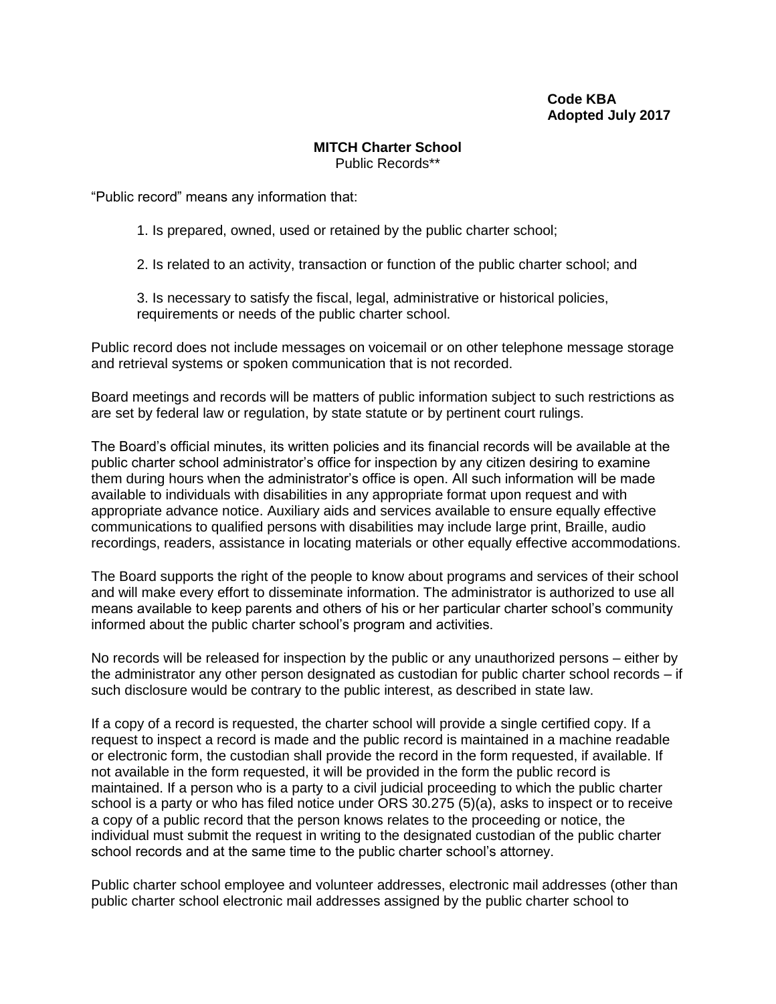## **Code KBA Adopted July 2017**

## **MITCH Charter School** Public Records\*\*

"Public record" means any information that:

1. Is prepared, owned, used or retained by the public charter school;

2. Is related to an activity, transaction or function of the public charter school; and

3. Is necessary to satisfy the fiscal, legal, administrative or historical policies, requirements or needs of the public charter school.

Public record does not include messages on voicemail or on other telephone message storage and retrieval systems or spoken communication that is not recorded.

Board meetings and records will be matters of public information subject to such restrictions as are set by federal law or regulation, by state statute or by pertinent court rulings.

The Board's official minutes, its written policies and its financial records will be available at the public charter school administrator's office for inspection by any citizen desiring to examine them during hours when the administrator's office is open. All such information will be made available to individuals with disabilities in any appropriate format upon request and with appropriate advance notice. Auxiliary aids and services available to ensure equally effective communications to qualified persons with disabilities may include large print, Braille, audio recordings, readers, assistance in locating materials or other equally effective accommodations.

The Board supports the right of the people to know about programs and services of their school and will make every effort to disseminate information. The administrator is authorized to use all means available to keep parents and others of his or her particular charter school's community informed about the public charter school's program and activities.

No records will be released for inspection by the public or any unauthorized persons – either by the administrator any other person designated as custodian for public charter school records – if such disclosure would be contrary to the public interest, as described in state law.

If a copy of a record is requested, the charter school will provide a single certified copy. If a request to inspect a record is made and the public record is maintained in a machine readable or electronic form, the custodian shall provide the record in the form requested, if available. If not available in the form requested, it will be provided in the form the public record is maintained. If a person who is a party to a civil judicial proceeding to which the public charter school is a party or who has filed notice under ORS 30.275 (5)(a), asks to inspect or to receive a copy of a public record that the person knows relates to the proceeding or notice, the individual must submit the request in writing to the designated custodian of the public charter school records and at the same time to the public charter school's attorney.

Public charter school employee and volunteer addresses, electronic mail addresses (other than public charter school electronic mail addresses assigned by the public charter school to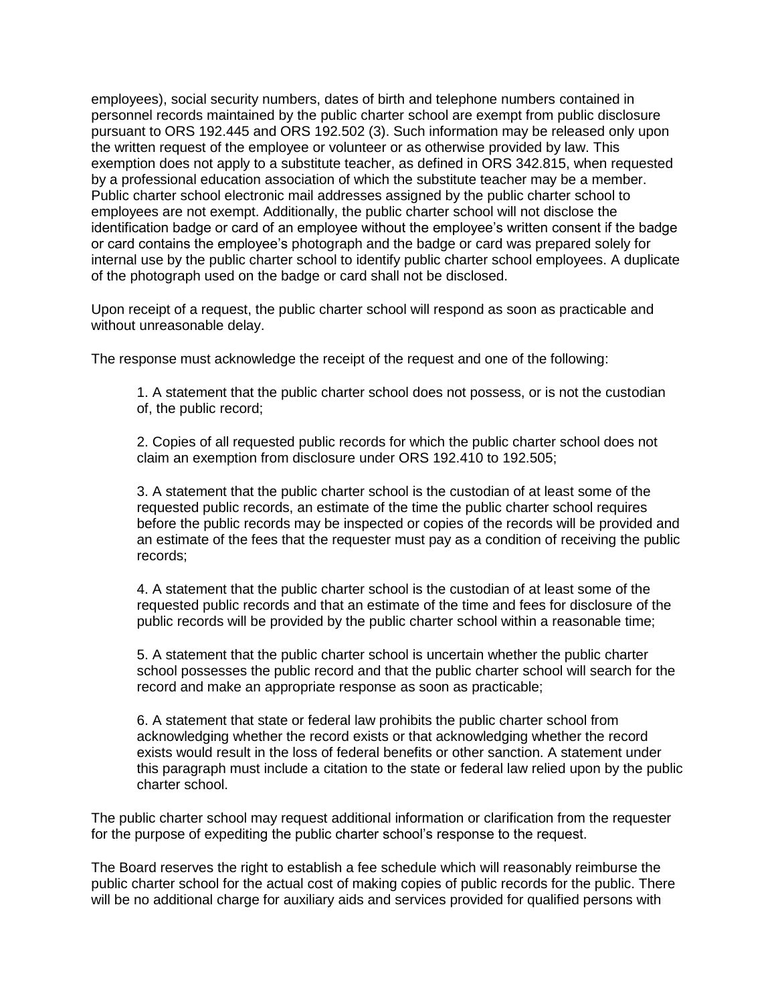employees), social security numbers, dates of birth and telephone numbers contained in personnel records maintained by the public charter school are exempt from public disclosure pursuant to ORS 192.445 and ORS 192.502 (3). Such information may be released only upon the written request of the employee or volunteer or as otherwise provided by law. This exemption does not apply to a substitute teacher, as defined in ORS 342.815, when requested by a professional education association of which the substitute teacher may be a member. Public charter school electronic mail addresses assigned by the public charter school to employees are not exempt. Additionally, the public charter school will not disclose the identification badge or card of an employee without the employee's written consent if the badge or card contains the employee's photograph and the badge or card was prepared solely for internal use by the public charter school to identify public charter school employees. A duplicate of the photograph used on the badge or card shall not be disclosed.

Upon receipt of a request, the public charter school will respond as soon as practicable and without unreasonable delay.

The response must acknowledge the receipt of the request and one of the following:

1. A statement that the public charter school does not possess, or is not the custodian of, the public record;

2. Copies of all requested public records for which the public charter school does not claim an exemption from disclosure under ORS 192.410 to 192.505;

3. A statement that the public charter school is the custodian of at least some of the requested public records, an estimate of the time the public charter school requires before the public records may be inspected or copies of the records will be provided and an estimate of the fees that the requester must pay as a condition of receiving the public records;

4. A statement that the public charter school is the custodian of at least some of the requested public records and that an estimate of the time and fees for disclosure of the public records will be provided by the public charter school within a reasonable time;

5. A statement that the public charter school is uncertain whether the public charter school possesses the public record and that the public charter school will search for the record and make an appropriate response as soon as practicable;

6. A statement that state or federal law prohibits the public charter school from acknowledging whether the record exists or that acknowledging whether the record exists would result in the loss of federal benefits or other sanction. A statement under this paragraph must include a citation to the state or federal law relied upon by the public charter school.

The public charter school may request additional information or clarification from the requester for the purpose of expediting the public charter school's response to the request.

The Board reserves the right to establish a fee schedule which will reasonably reimburse the public charter school for the actual cost of making copies of public records for the public. There will be no additional charge for auxiliary aids and services provided for qualified persons with